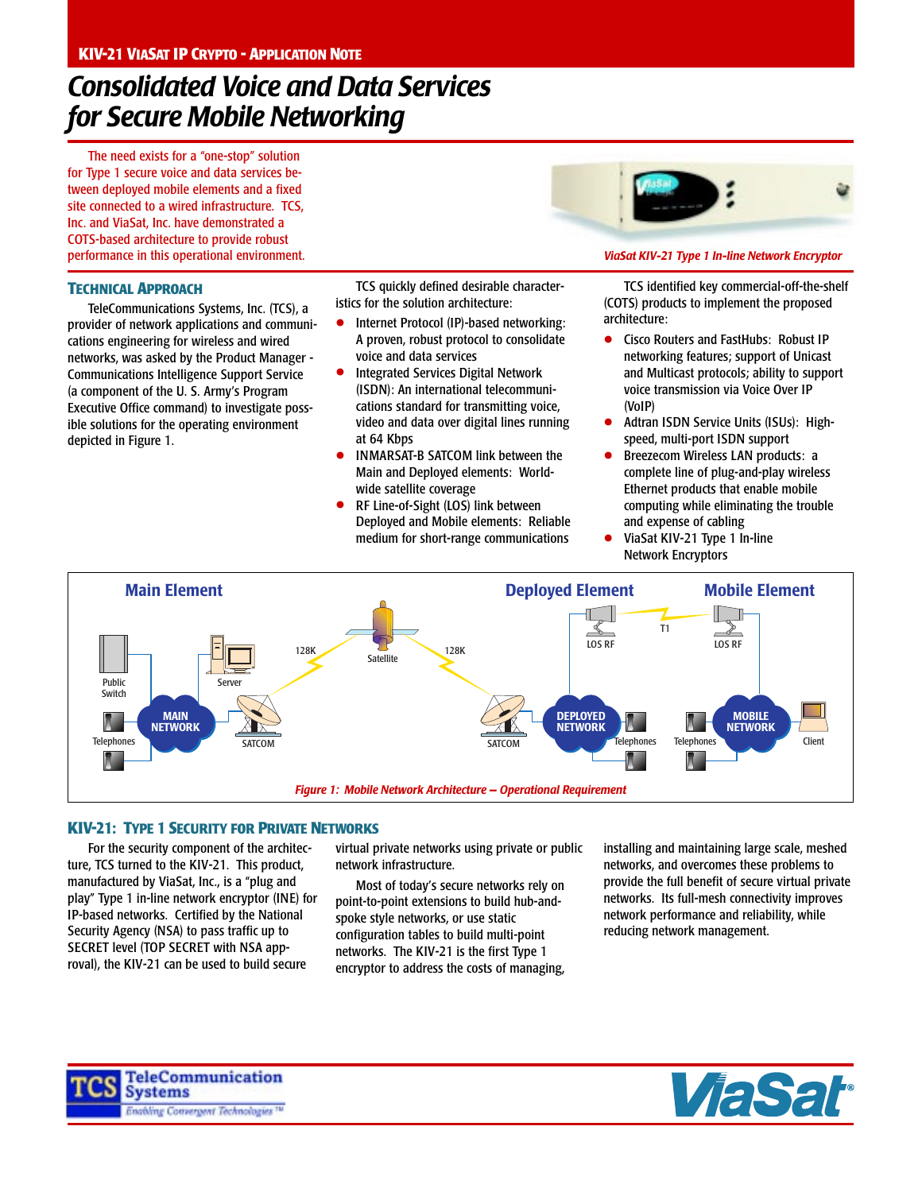# *Consolidated Voice and Data Services for Secure Mobile Networking*

The need exists for a "one-stop" solution for Type 1 secure voice and data services between deployed mobile elements and a fixed site connected to a wired infrastructure. TCS, Inc. and ViaSat, Inc. have demonstrated a COTS-based architecture to provide robust performance in this operational environment.

## **TECHNICAL APPROACH**

TeleCommunications Systems, Inc. (TCS), a provider of network applications and communications engineering for wireless and wired networks, was asked by the Product Manager - Communications Intelligence Support Service (a component of the U. S. Army's Program Executive Office command) to investigate possible solutions for the operating environment depicted in Figure 1.

TCS quickly defined desirable characteristics for the solution architecture:

- Internet Protocol (IP)-based networking: A proven, robust protocol to consolidate voice and data services
- **•** Integrated Services Digital Network (ISDN): An international telecommunications standard for transmitting voice, video and data over digital lines running at 64 Kbps
- INMARSAT-B SATCOM link between the Main and Deployed elements: Worldwide satellite coverage
- RF Line-of-Sight (LOS) link between Deployed and Mobile elements: Reliable medium for short-range communications



### *ViaSat KIV-21 Type 1 In-line Network Encryptor*

TCS identified key commercial-off-the-shelf (COTS) products to implement the proposed architecture:

- Cisco Routers and FastHubs: Robust IP networking features; support of Unicast and Multicast protocols; ability to support voice transmission via Voice Over IP (VoIP)
- Adtran ISDN Service Units (ISUs): Highspeed, multi-port ISDN support
- Breezecom Wireless LAN products: a complete line of plug-and-play wireless Ethernet products that enable mobile computing while eliminating the trouble and expense of cabling
- ViaSat KIV-21 Type 1 In-line Network Encryptors



## **KIV-21: TYPE 1 SECURITY FOR PRIVATE NETWORKS**

For the security component of the architecture, TCS turned to the KIV-21. This product, manufactured by ViaSat, Inc., is a "plug and play" Type 1 in-line network encryptor (INE) for IP-based networks. Certified by the National Security Agency (NSA) to pass traffic up to SECRET level (TOP SECRET with NSA approval), the KIV-21 can be used to build secure

virtual private networks using private or public network infrastructure.

Most of today's secure networks rely on point-to-point extensions to build hub-andspoke style networks, or use static configuration tables to build multi-point networks. The KIV-21 is the first Type 1 encryptor to address the costs of managing,

installing and maintaining large scale, meshed networks, and overcomes these problems to provide the full benefit of secure virtual private networks. Its full-mesh connectivity improves network performance and reliability, while reducing network management.